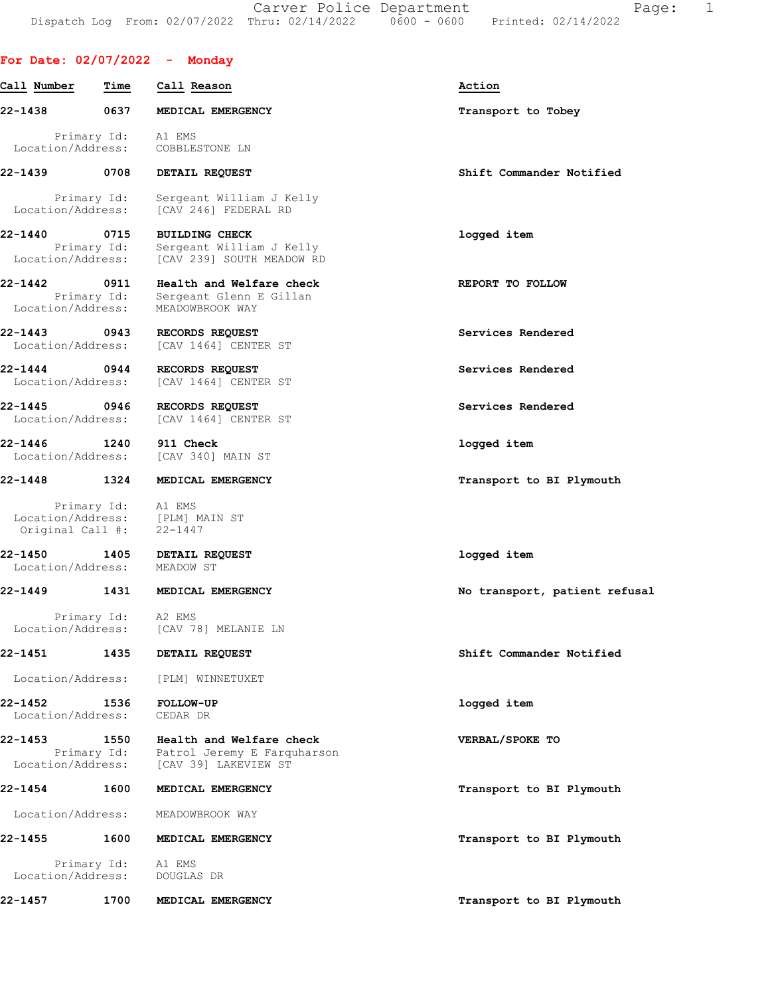Carver Police Department Fage: 1 Dispatch Log From: 02/07/2022 Thru: 02/14/2022 0600 - 0600 Printed: 02/14/2022

# For Date: 02/07/2022 - Monday

| Call Number                      | Time                | Call Reason                                                                     | Action                        |
|----------------------------------|---------------------|---------------------------------------------------------------------------------|-------------------------------|
| 22-1438                          | 0637                | MEDICAL EMERGENCY                                                               | Transport to Tobey            |
| Location/Address:                | Primary Id:         | A1 EMS<br>COBBLESTONE LN                                                        |                               |
| 22-1439                          | 0708                | DETAIL REQUEST                                                                  | Shift Commander Notified      |
| Location/Address:                | Primary Id:         | Sergeant William J Kelly<br>[CAV 246] FEDERAL RD                                |                               |
| $22 - 1440$<br>Location/Address: | 0715<br>Primary Id: | <b>BUILDING CHECK</b><br>Sergeant William J Kelly<br>[CAV 239] SOUTH MEADOW RD  | logged item                   |
| $22 - 1442$<br>Location/Address: | 0911<br>Primary Id: | Health and Welfare check<br>Sergeant Glenn E Gillan<br>MEADOWBROOK WAY          | REPORT TO FOLLOW              |
| 22-1443<br>Location/Address:     | $\overline{0943}$   | RECORDS REQUEST<br>[CAV 1464] CENTER ST                                         | Services Rendered             |
| 22-1444<br>Location/Address:     | $\overline{0944}$   | RECORDS REQUEST<br>[CAV 1464] CENTER ST                                         | Services Rendered             |
| 22-1445<br>Location/Address:     | 0946                | RECORDS REQUEST<br>ICAV 14641 CENTER ST                                         | Services Rendered             |
| $22 - 1446$<br>Location/Address: | 1240                | 911 Check<br>[CAV 340] MAIN ST                                                  | logged item                   |
| $22 - 1448$                      | 1324                | MEDICAL EMERGENCY                                                               | Transport to BI Plymouth      |
| Original Call #:                 | Primary Id:         | A1 EMS<br>Location/Address: [PLM] MAIN ST<br>22-1447                            |                               |
| 22-1450<br>Location/Address:     | 1405                | DETAIL REQUEST<br>MEADOW ST                                                     | logged item                   |
| 22-1449                          | 1431                | MEDICAL EMERGENCY                                                               | No transport, patient refusal |
| Location/Address:                | Primary Id:         | A2 EMS<br>[CAV 78] MELANIE LN                                                   |                               |
| 22-1451                          | 1435                | DETAIL REQUEST                                                                  | Shift Commander Notified      |
| Location/Address:                |                     | [PLM] WINNETUXET                                                                |                               |
| 22-1452<br>Location/Address:     | 1536                | <b>FOLLOW-UP</b><br>CEDAR DR                                                    | logged item                   |
| $22 - 1453$<br>Location/Address: | 1550<br>Primary Id: | Health and Welfare check<br>Patrol Jeremy E Farquharson<br>[CAV 39] LAKEVIEW ST | VERBAL/SPOKE TO               |
| 22-1454                          | 1600                | MEDICAL EMERGENCY                                                               | Transport to BI Plymouth      |
| Location/Address:                |                     | MEADOWBROOK WAY                                                                 |                               |
| 22-1455                          | 1600                | MEDICAL EMERGENCY                                                               | Transport to BI Plymouth      |
| Location/Address:                | Primary Id:         | A1 EMS<br>DOUGLAS DR                                                            |                               |
| 22-1457                          | 1700                | MEDICAL EMERGENCY                                                               | Transport to BI Plymouth      |
|                                  |                     |                                                                                 |                               |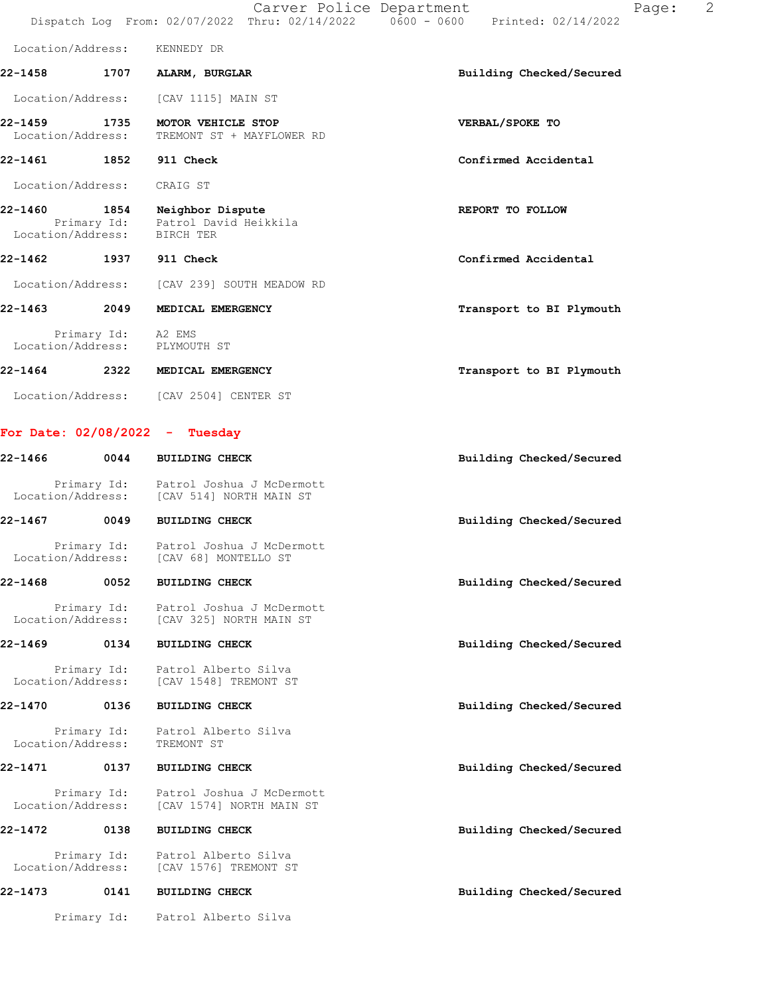|                                  |      |                                                                    | Carver Police Department | Dispatch Log From: 02/07/2022 Thru: 02/14/2022   0600 - 0600   Printed: 02/14/2022 | Page: | $\overline{2}$ |
|----------------------------------|------|--------------------------------------------------------------------|--------------------------|------------------------------------------------------------------------------------|-------|----------------|
| Location/Address:                |      | KENNEDY DR                                                         |                          |                                                                                    |       |                |
| 22-1458                          | 1707 | ALARM, BURGLAR                                                     |                          | Building Checked/Secured                                                           |       |                |
| Location/Address:                |      | [CAV 1115] MAIN ST                                                 |                          |                                                                                    |       |                |
| $22 - 1459$<br>Location/Address: | 1735 | MOTOR VEHICLE STOP<br>TREMONT ST + MAYFLOWER RD                    |                          | VERBAL/SPOKE TO                                                                    |       |                |
| 22-1461 1852                     |      | 911 Check                                                          |                          | Confirmed Accidental                                                               |       |                |
| Location/Address:                |      | CRAIG ST                                                           |                          |                                                                                    |       |                |
| 22-1460<br>Location/Address:     | 1854 | Neighbor Dispute<br>Primary Id: Patrol David Heikkila<br>BIRCH TER |                          | REPORT TO FOLLOW                                                                   |       |                |
| 22-1462                          | 1937 | 911 Check                                                          |                          | Confirmed Accidental                                                               |       |                |
| Location/Address:                |      | [CAV 239] SOUTH MEADOW RD                                          |                          |                                                                                    |       |                |
| $22 - 1463$                      | 2049 | MEDICAL EMERGENCY                                                  |                          | Transport to BI Plymouth                                                           |       |                |
|                                  |      | Primary Id: A2 EMS<br>Location/Address: PLYMOUTH ST                |                          |                                                                                    |       |                |
| 22-1464                          | 2322 | MEDICAL EMERGENCY                                                  |                          | Transport to BI Plymouth                                                           |       |                |
|                                  |      | Location/Address: [CAV 2504] CENTER ST                             |                          |                                                                                    |       |                |
| For Date: 02/08/2022 -           |      | Tuesday                                                            |                          |                                                                                    |       |                |

22-1466 0044 BUILDING CHECK Building Checked/Secured Primary Id: Patrol Joshua J McDermott Location/Address: [CAV 514] NORTH MAIN ST 22-1467 0049 BUILDING CHECK Building Checked/Secured Primary Id: Patrol Joshua J McDermott Location/Address: [CAV 68] MONTELLO ST 22-1468 0052 BUILDING CHECK Building Checked/Secured Primary Id: Patrol Joshua J McDermott Location/Address: [CAV 325] NORTH MAIN ST 22-1469 0134 BUILDING CHECK Building Checked/Secured Primary Id: Patrol Alberto Silva Location/Address: [CAV 1548] TREMONT ST 22-1470 0136 BUILDING CHECK Building Checked/Secured Primary Id: Patrol Alberto Silva<br>ion/Address: TREMONT ST Location/Address: 22-1471 0137 BUILDING CHECK Building Checked/Secured Primary Id: Patrol Joshua J McDermott Location/Address: [CAV 1574] NORTH MAIN ST 22-1472 0138 BUILDING CHECK Building Checked/Secured Primary Id: Patrol Alberto Silva Location/Address: [CAV 1576] TREMONT ST 22-1473 0141 BUILDING CHECK Building Checked/Secured Primary Id: Patrol Alberto Silva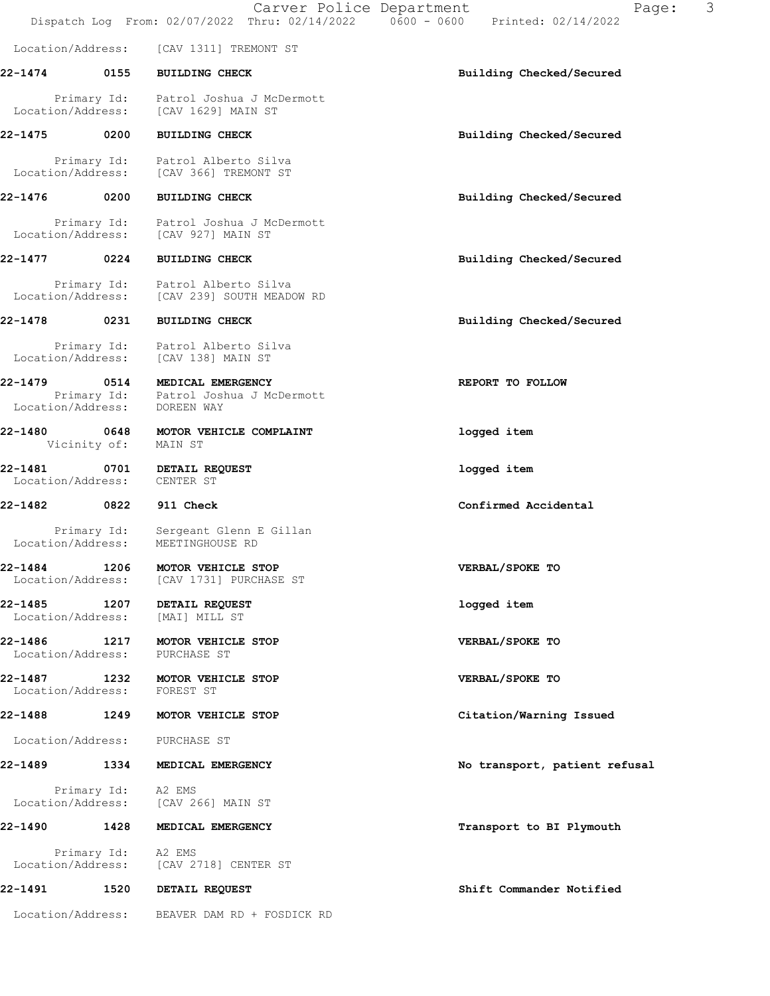|                                   |                      |                                                                                       | Carver Police Department<br>Dispatch Log From: 02/07/2022 Thru: 02/14/2022 0600 - 0600 Printed: 02/14/2022<br>3<br>Page: |
|-----------------------------------|----------------------|---------------------------------------------------------------------------------------|--------------------------------------------------------------------------------------------------------------------------|
| Location/Address:                 |                      | [CAV 1311] TREMONT ST                                                                 |                                                                                                                          |
| $22 - 1474$                       | 0155                 | <b>BUILDING CHECK</b>                                                                 | Building Checked/Secured                                                                                                 |
|                                   |                      | Primary Id: Patrol Joshua J McDermott<br>Location/Address: [CAV 1629] MAIN ST         |                                                                                                                          |
| 22-1475 0200                      |                      | <b>BUILDING CHECK</b>                                                                 | Building Checked/Secured                                                                                                 |
|                                   |                      | Primary Id: Patrol Alberto Silva<br>Location/Address: [CAV 366] TREMONT ST            |                                                                                                                          |
| 22-1476                           | 0200                 | <b>BUILDING CHECK</b>                                                                 | Building Checked/Secured                                                                                                 |
|                                   | Primary Id:          | Patrol Joshua J McDermott<br>Location/Address: [CAV 927] MAIN ST                      |                                                                                                                          |
| $22 - 1477$                       | 0224                 | <b>BUILDING CHECK</b>                                                                 | Building Checked/Secured                                                                                                 |
|                                   |                      | Primary Id: Patrol Alberto Silva<br>Location/Address: [CAV 239] SOUTH MEADOW RD       |                                                                                                                          |
| $22 - 1478$                       | 0231                 | <b>BUILDING CHECK</b>                                                                 | Building Checked/Secured                                                                                                 |
|                                   | Primary Id:          | Patrol Alberto Silva<br>Location/Address: [CAV 138] MAIN ST                           |                                                                                                                          |
| Location/Address:                 |                      | 22-1479 0514 MEDICAL EMERGENCY<br>Primary Id: Patrol Joshua J McDermott<br>DOREEN WAY | REPORT TO FOLLOW                                                                                                         |
| 22-1480                           | 0648<br>Vicinity of: | MOTOR VEHICLE COMPLAINT<br>MAIN ST                                                    | logged item                                                                                                              |
| 22-1481<br>Location/Address:      | 0701                 | DETAIL REQUEST<br>CENTER ST                                                           | logged item                                                                                                              |
| 22-1482                           | $\sim$ 0822          | 911 Check                                                                             | Confirmed Accidental                                                                                                     |
|                                   |                      | Primary Id: Sergeant Glenn E Gillan<br>Location/Address: MEETINGHOUSE RD              |                                                                                                                          |
| 22-1484<br>Location/Address:      |                      | 1206 MOTOR VEHICLE STOP<br>[CAV 1731] PURCHASE ST                                     | VERBAL/SPOKE TO                                                                                                          |
| Location/Address:                 |                      | 22-1485 1207 DETAIL REQUEST<br>[MAI] MILL ST                                          | logged item                                                                                                              |
| 22-1486                           | 1217                 | MOTOR VEHICLE STOP<br>Location/Address: PURCHASE ST                                   | VERBAL/SPOKE TO                                                                                                          |
| 22-1487 1232<br>Location/Address: |                      | MOTOR VEHICLE STOP<br>FOREST ST                                                       | VERBAL/SPOKE TO                                                                                                          |
| 22-1488                           |                      | 1249 MOTOR VEHICLE STOP                                                               | Citation/Warning Issued                                                                                                  |
| Location/Address:                 |                      | PURCHASE ST                                                                           |                                                                                                                          |
| 22-1489 1334                      |                      | MEDICAL EMERGENCY                                                                     | No transport, patient refusal                                                                                            |
|                                   | Primary Id: A2 EMS   | Location/Address: [CAV 266] MAIN ST                                                   |                                                                                                                          |
| 22-1490 1428                      |                      | MEDICAL EMERGENCY                                                                     | Transport to BI Plymouth                                                                                                 |
|                                   | Primary Id: A2 EMS   | Location/Address: [CAV 2718] CENTER ST                                                |                                                                                                                          |
|                                   |                      | 22-1491 1520 DETAIL REQUEST                                                           | Shift Commander Notified                                                                                                 |
|                                   |                      | Location/Address: BEAVER DAM RD + FOSDICK RD                                          |                                                                                                                          |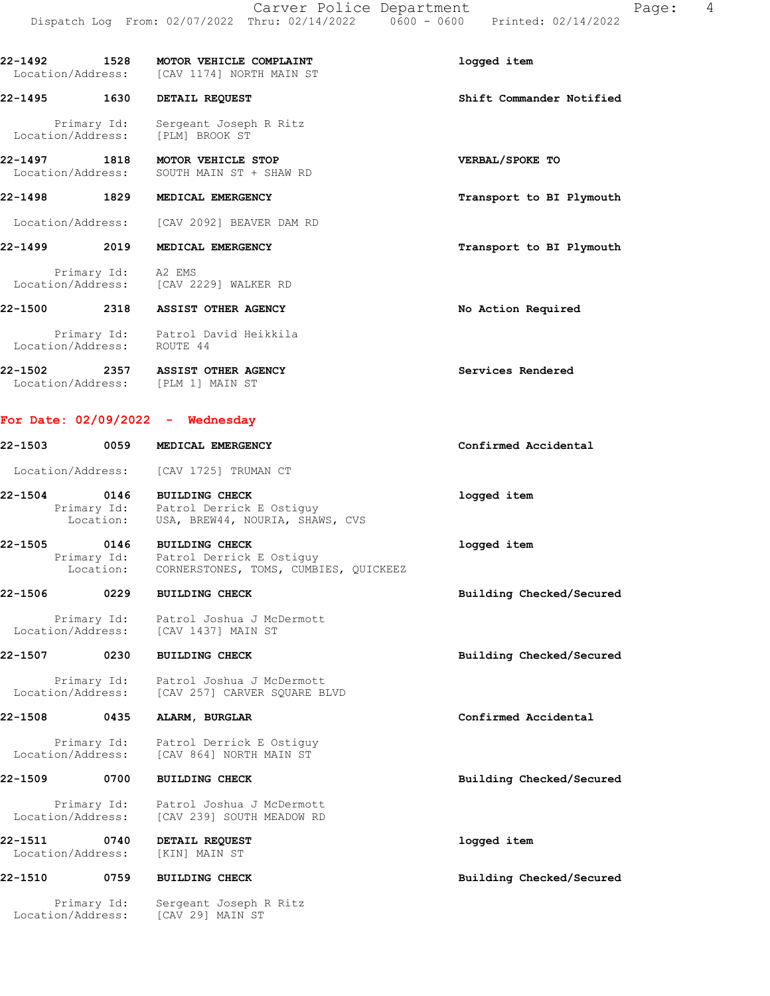| 22-1492 1528               |                    | MOTOR VEHICLE COMPLAINT                                         | logged item              |
|----------------------------|--------------------|-----------------------------------------------------------------|--------------------------|
|                            |                    | Location/Address: [CAV 1174] NORTH MAIN ST                      |                          |
| 22-1495 1630               |                    | DETAIL REQUEST                                                  | Shift Commander Notified |
|                            | Primary Id:        | Sergeant Joseph R Ritz<br>Location/Address: [PLM] BROOK ST      |                          |
| 22-1497 1818               |                    | MOTOR VEHICLE STOP<br>Location/Address: SOUTH MAIN ST + SHAW RD | VERBAL/SPOKE TO          |
| 22-1498                    | 1829               | MEDICAL EMERGENCY                                               | Transport to BI Plymouth |
|                            |                    | Location/Address: [CAV 2092] BEAVER DAM RD                      |                          |
| 22-1499                    | 2019               | MEDICAL EMERGENCY                                               | Transport to BI Plymouth |
|                            | Primary Id: A2 EMS | Location/Address: [CAV 2229] WALKER RD                          |                          |
| 22-1500                    | 2318               | ASSIST OTHER AGENCY                                             | No Action Required       |
| Location/Address: ROUTE 44 |                    | Primary Id: Patrol David Heikkila                               |                          |
| $22 - 1502$                |                    | 2357 ASSIST OTHER AGENCY<br>Location/Address: [PLM 1] MAIN ST   | Services Rendered        |

# For Date: 02/09/2022 - Wednesday

Location/Address: [CAV 29] MAIN ST

| 22-1503                           | 0059                             | MEDICAL EMERGENCY                                                                                      | Confirmed Accidental     |
|-----------------------------------|----------------------------------|--------------------------------------------------------------------------------------------------------|--------------------------|
|                                   | Location/Address:                | [CAV 1725] TRUMAN CT                                                                                   |                          |
| $22 - 1504$                       | 0146<br>Primary Id:<br>Location: | <b>BUILDING CHECK</b><br>Patrol Derrick E Ostiguy<br>USA, BREW44, NOURIA, SHAWS, CVS                   | logged item              |
| 22-1505                           | 0146<br>Location:                | <b>BUILDING CHECK</b><br>Primary Id: Patrol Derrick E Ostiquy<br>CORNERSTONES, TOMS, CUMBIES, QUICKEEZ | logged item              |
| 22-1506                           | 0229                             | <b>BUILDING CHECK</b>                                                                                  | Building Checked/Secured |
|                                   | Primary Id:                      | Patrol Joshua J McDermott<br>Location/Address: [CAV 1437] MAIN ST                                      |                          |
| 22-1507 0230                      |                                  | <b>BUILDING CHECK</b>                                                                                  | Building Checked/Secured |
|                                   |                                  | Primary Id: Patrol Joshua J McDermott<br>Location/Address: [CAV 257] CARVER SQUARE BLVD                |                          |
| 22-1508 0435                      |                                  | ALARM, BURGLAR                                                                                         | Confirmed Accidental     |
| Location/Address:                 | Primary Id:                      | Patrol Derrick E Ostiquy<br>[CAV 864] NORTH MAIN ST                                                    |                          |
| 22-1509 0700                      |                                  | <b>BUILDING CHECK</b>                                                                                  | Building Checked/Secured |
| Location/Address:                 |                                  | Primary Id: Patrol Joshua J McDermott<br>[CAV 239] SOUTH MEADOW RD                                     |                          |
| 22-1511 0740<br>Location/Address: |                                  | DETAIL REQUEST<br>[KIN] MAIN ST                                                                        | logged item              |
| 22-1510 0759                      |                                  | <b>BUILDING CHECK</b>                                                                                  | Building Checked/Secured |
|                                   | Primary Id:                      | Sergeant Joseph R Ritz                                                                                 |                          |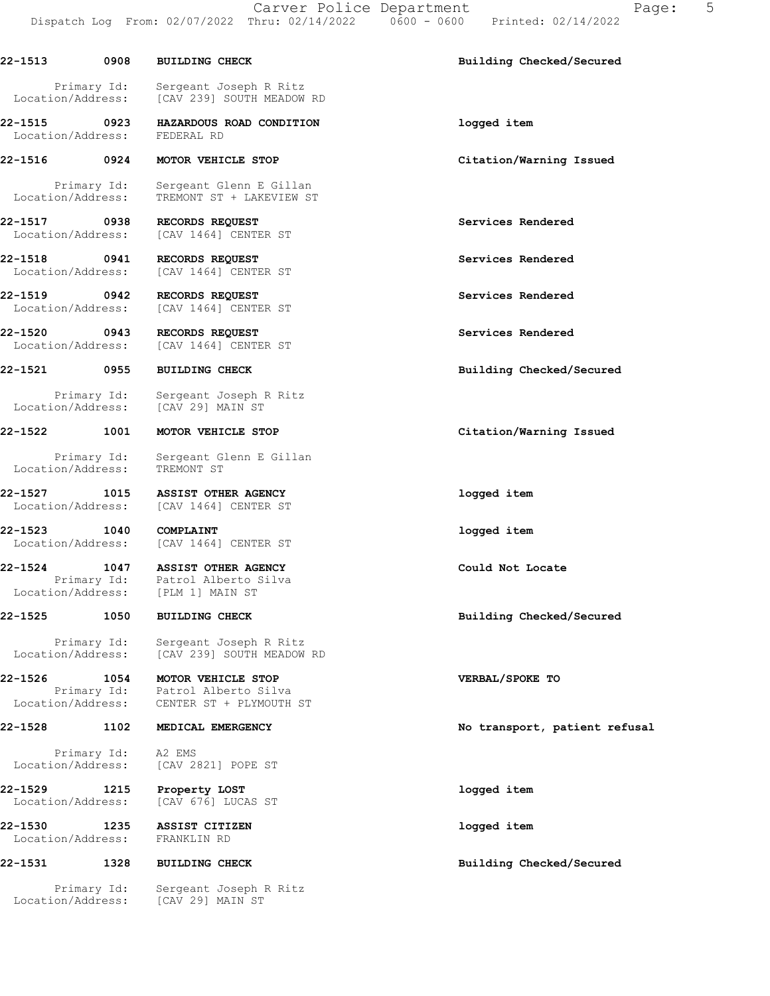22-1513 0908 BUILDING CHECK Building Checked/Secured Primary Id: Sergeant Joseph R Ritz Location/Address: [CAV 239] SOUTH MEADOW RD 22-1515 0923 HAZARDOUS ROAD CONDITION logged item Location/Address: FEDERAL RD 22-1516 0924 MOTOR VEHICLE STOP Citation/Warning Issued Primary Id: Sergeant Glenn E Gillan<br>ion/Address: TREMONT ST + LAKEVIEW ST Location/Address: 22-1517 0938 RECORDS REQUEST Services Rendered Location/Address: [CAV 1464] CENTER ST 22-1518 0941 RECORDS REQUEST Services Rendered Location/Address: [CAV 1464] CENTER ST 22-1519 0942 RECORDS REQUEST Services Rendered Location/Address: [CAV 1464] CENTER ST 22-1520 0943 RECORDS REQUEST SERVICES REPRISES SERVICES Rendered Services Rendered [CAV 1464] CENTER ST 22-1521 0955 BUILDING CHECK Building Checked/Secured Primary Id: Sergeant Joseph R Ritz Location/Address: [CAV 29] MAIN ST 22-1522 1001 MOTOR VEHICLE STOP Citation/Warning Issued Primary Id: Sergeant Glenn E Gillan<br>ion/Address: TREMONT ST Location/Address: 22-1527 1015 ASSIST OTHER AGENCY logged item Location/Address: [CAV 1464] CENTER ST 22-1523 1040 COMPLAINT logged item Location/Address: [CAV 1464] CENTER ST 22-1524 1047 ASSIST OTHER AGENCY Could Not Locate Primary Id: Patrol Alberto Silva Location/Address: [PLM 1] MAIN ST 22-1525 1050 BUILDING CHECK Building Checked/Secured Primary Id: Sergeant Joseph R Ritz Location/Address: [CAV 239] SOUTH MEADOW RD 22-1526 1054 MOTOR VEHICLE STOP VERBAL/SPOKE TO Primary Id: Patrol Alberto Silva Location/Address: CENTER ST + PLYMOUTH ST 22-1528 1102 MEDICAL EMERGENCY 120 Notransport, patient refusal Primary Id: A2 EMS Location/Address: [CAV 2821] POPE ST 22-1529 1215 Property LOST logged item Location/Address: [CAV 676] LUCAS ST 22-1530 1235 ASSIST CITIZEN logged item Location/Address: FRANKLIN RD 22-1531 1328 BUILDING CHECK Building Checked/Secured Primary Id: Sergeant Joseph R Ritz Location/Address: [CAV 29] MAIN ST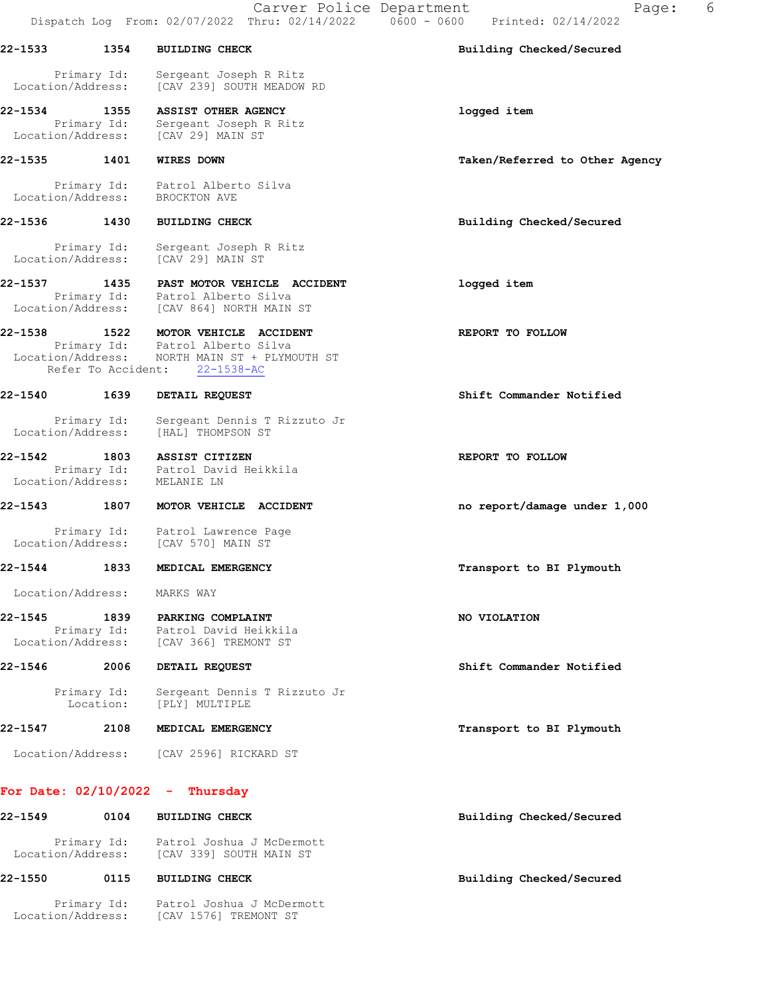22-1533 1354 BUILDING CHECK Building Checked/Secured

|                              |                          | Primary Id: Sergeant Joseph R Ritz<br>Location/Address: [CAV 239] SOUTH MEADOW RD                                                                         |                                |
|------------------------------|--------------------------|-----------------------------------------------------------------------------------------------------------------------------------------------------------|--------------------------------|
| 22-1534                      | 1355                     | <b>ASSIST OTHER AGENCY</b><br>Primary Id: Sergeant Joseph R Ritz<br>Location/Address: [CAV 29] MAIN ST                                                    | logged item                    |
|                              |                          |                                                                                                                                                           |                                |
| 22-1535 2014                 | 1401                     | <b>WIRES DOWN</b>                                                                                                                                         | Taken/Referred to Other Agency |
|                              |                          | Primary Id: Patrol Alberto Silva<br>Location/Address: BROCKTON AVE                                                                                        |                                |
| 22-1536                      | 1430                     | <b>BUILDING CHECK</b>                                                                                                                                     | Building Checked/Secured       |
| Location/Address:            | Primary Id:              | Sergeant Joseph R Ritz<br>[CAV 29] MAIN ST                                                                                                                |                                |
| 22-1537 1435                 |                          | PAST MOTOR VEHICLE ACCIDENT<br>Primary Id: Patrol Alberto Silva<br>Location/Address: [CAV 864] NORTH MAIN ST                                              | logged item                    |
|                              |                          | 22-1538 1522 MOTOR VEHICLE ACCIDENT<br>Primary Id: Patrol Alberto Silva<br>Location/Address: NORTH MAIN ST + PLYMOUTH ST<br>Refer To Accident: 22-1538-AC | REPORT TO FOLLOW               |
| 22-1540 1639                 |                          | DETAIL REQUEST                                                                                                                                            | Shift Commander Notified       |
| Location/Address:            | Primary Id:              | Sergeant Dennis T Rizzuto Jr<br>[HAL] THOMPSON ST                                                                                                         |                                |
|                              |                          | 22-1542 1803 ASSIST CITIZEN<br>Primary Id: Patrol David Heikkila<br>Location/Address: MELANIE LN                                                          | REPORT TO FOLLOW               |
|                              |                          | 22-1543 1807 MOTOR VEHICLE ACCIDENT                                                                                                                       | no report/damage under 1,000   |
|                              |                          | Primary Id: Patrol Lawrence Page<br>Location/Address: [CAV 570] MAIN ST                                                                                   |                                |
| 22-1544                      | 1833                     | MEDICAL EMERGENCY                                                                                                                                         | Transport to BI Plymouth       |
| Location/Address:            |                          | MARKS WAY                                                                                                                                                 |                                |
| 22-1545<br>Location/Address: | 1839<br>Primary Id:      | PARKING COMPLAINT<br>Patrol David Heikkila<br>[CAV 366] TREMONT ST                                                                                        | NO VIOLATION                   |
| 22-1546                      | 2006                     | DETAIL REQUEST                                                                                                                                            | Shift Commander Notified       |
|                              | Primary Id:<br>Location: | Sergeant Dennis T Rizzuto Jr<br>[PLY] MULTIPLE                                                                                                            |                                |
| 22-1547                      | 2108                     | MEDICAL EMERGENCY                                                                                                                                         | Transport to BI Plymouth       |
| Location/Address:            |                          | [CAV 2596] RICKARD ST                                                                                                                                     |                                |
| For Date: $02/10/2022 -$     |                          | Thursday                                                                                                                                                  |                                |
| 22-1549                      | 0104                     | <b>BUILDING CHECK</b>                                                                                                                                     | Building Checked/Secured       |
|                              |                          | Primary Id: Patrol Joshua J McDermott                                                                                                                     |                                |

| 22-1549           | 0104        | <b>BUILDING CHECK</b>                                | Building Checked/Secured |
|-------------------|-------------|------------------------------------------------------|--------------------------|
| Location/Address: | Primary Id: | Patrol Joshua J McDermott<br>[CAV 339] SOUTH MAIN ST |                          |
| 22-1550           | 0115        | <b>BUILDING CHECK</b>                                | Building Checked/Secured |
|                   |             |                                                      |                          |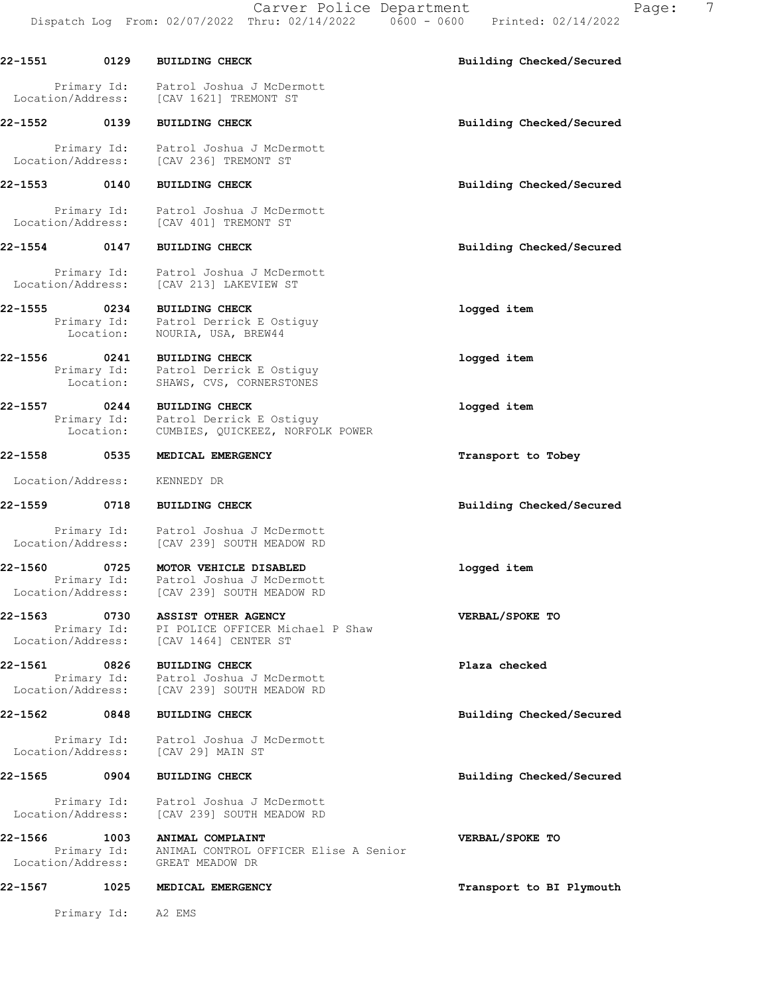Carver Police Department Fage: 7 Dispatch Log From: 02/07/2022 Thru: 02/14/2022 0600 - 0600 Printed: 02/14/2022

22-1551 0129 BUILDING CHECK Building Checked/Secured Primary Id: Patrol Joshua J McDermott Location/Address: [CAV 1621] TREMONT ST 22-1552 0139 BUILDING CHECK Building Checked/Secured Primary Id: Patrol Joshua J McDermott Location/Address: [CAV 236] TREMONT ST 22-1553 0140 BUILDING CHECK Building Checked/Secured Primary Id: Patrol Joshua J McDermott Location/Address: [CAV 401] TREMONT ST 22-1554 0147 BUILDING CHECK Building Checked/Secured Primary Id: Patrol Joshua J McDermott Location/Address: [CAV 213] LAKEVIEW ST 22-1555 0234 BUILDING CHECK logged item Primary Id: Patrol Derrick E Ostiguy Location: NOURIA, USA, BREW44 22-1556 0241 BUILDING CHECK logged item Primary Id: Patrol Derrick E Ostiguy Location: SHAWS, CVS, CORNERSTONES 22-1557 0244 BUILDING CHECK logged item Primary Id: Patrol Derrick E Ostiguy Location: CUMBIES, QUICKEEZ, NORFOLK POWER 22-1558 0535 MEDICAL EMERGENCY Transport to Tobey Location/Address: KENNEDY DR 22-1559 0718 BUILDING CHECK Building Checked/Secured Primary Id: Patrol Joshua J McDermott Location/Address: [CAV 239] SOUTH MEADOW RD 22-1560 0725 MOTOR VEHICLE DISABLED logged item Primary Id: Patrol Joshua J McDermott Location/Address: [CAV 239] SOUTH MEADOW RD 22-1563 0730 ASSIST OTHER AGENCY VERBAL/SPOKE TO Primary Id: PI POLICE OFFICER Michael P Shaw Location/Address: [CAV 1464] CENTER ST 22-1561 0826 BUILDING CHECK Plaza checked Primary Id: Patrol Joshua J McDermott Location/Address: [CAV 239] SOUTH MEADOW RD 22-1562 0848 BUILDING CHECK Building Checked/Secured Primary Id: Patrol Joshua J McDermott Location/Address: [CAV 29] MAIN ST 22-1565 0904 BUILDING CHECK Building Checked/Secured Primary Id: Patrol Joshua J McDermott Location/Address: [CAV 239] SOUTH MEADOW RD 22-1566 1003 ANIMAL COMPLAINT VERBAL/SPOKE TO Primary Id: ANIMAL CONTROL OFFICER Elise A Senior Location/Address: GREAT MEADOW DR 22-1567 1025 MEDICAL EMERGENCY Transport to BI Plymouth Primary Id: A2 EMS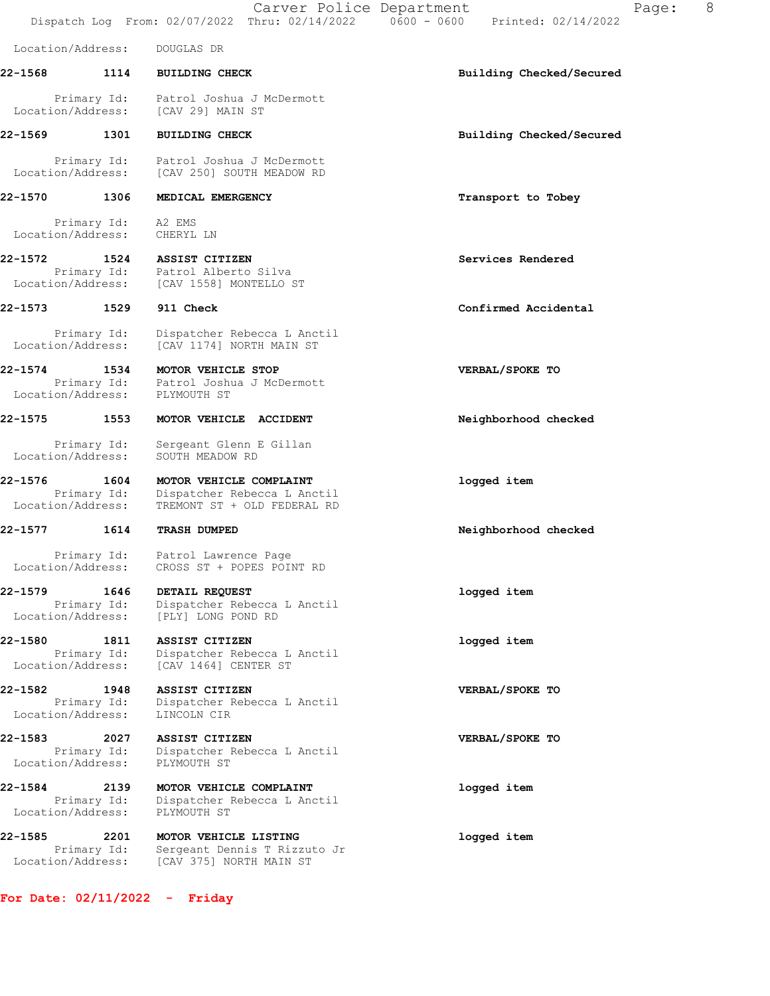Location/Address: DOUGLAS DR 22-1568 1114 BUILDING CHECK Building Checked/Secured Primary Id: Patrol Joshua J McDermott Location/Address: [CAV 29] MAIN ST 22-1569 1301 BUILDING CHECK Building Checked/Secured Primary Id: Patrol Joshua J McDermott Location/Address: [CAV 250] SOUTH MEADOW RD 22-1570 1306 MEDICAL EMERGENCY **1200 1200 1200 1200 1200 1200 1200** Transport to Tobey Primary Id: A2 EMS Location/Address: CHERYL LN 22-1572 1524 ASSIST CITIZEN Services Rendered Primary Id: Patrol Alberto Silva Location/Address: [CAV 1558] MONTELLO ST 22-1573 1529 911 Check Confirmed Accidental Primary Id: Dispatcher Rebecca L Anctil Location/Address: [CAV 1174] NORTH MAIN ST 22-1574 1534 MOTOR VEHICLE STOP VERBAL/SPOKE TO Primary Id: Patrol Joshua J McDermott Location/Address: PLYMOUTH ST 22-1575 1553 MOTOR VEHICLE ACCIDENT Neighborhood checked Primary Id: Sergeant Glenn E Gillan Location/Address: SOUTH MEADOW RD 22-1576 1604 MOTOR VEHICLE COMPLAINT logged item Primary Id: Dispatcher Rebecca L Anctil Location/Address: TREMONT ST + OLD FEDERAL RD 22-1577 1614 TRASH DUMPED Neighborhood checked Primary Id: Patrol Lawrence Page Location/Address: CROSS ST + POPES POINT RD 22-1579 1646 DETAIL REQUEST logged item Primary Id: Dispatcher Rebecca L Anctil Location/Address: [PLY] LONG POND RD 22-1580 1811 ASSIST CITIZEN logged item Primary Id: Dispatcher Rebecca L Anctil Location/Address: [CAV 1464] CENTER ST 22-1582 1948 ASSIST CITIZEN VERBAL/SPOKE TO Primary Id: Dispatcher Rebecca L Anctil Location/Address: LINCOLN CIR 22-1583 2027 ASSIST CITIZEN VERBAL/SPOKE TO Primary Id: Dispatcher Rebecca L Anctil Location/Address: PLYMOUTH ST 22-1584 2139 MOTOR VEHICLE COMPLAINT logged item Primary Id: Dispatcher Rebecca L Anctil Location/Address: PLYMOUTH ST 22-1585 2201 MOTOR VEHICLE LISTING logged item Primary Id: Sergeant Dennis T Rizzuto Jr Location/Address: [CAV 375] NORTH MAIN ST

Dispatch Log From: 02/07/2022 Thru: 02/14/2022 0600 - 0600 Printed: 02/14/2022

Carver Police Department Fage: 8

For Date: 02/11/2022 - Friday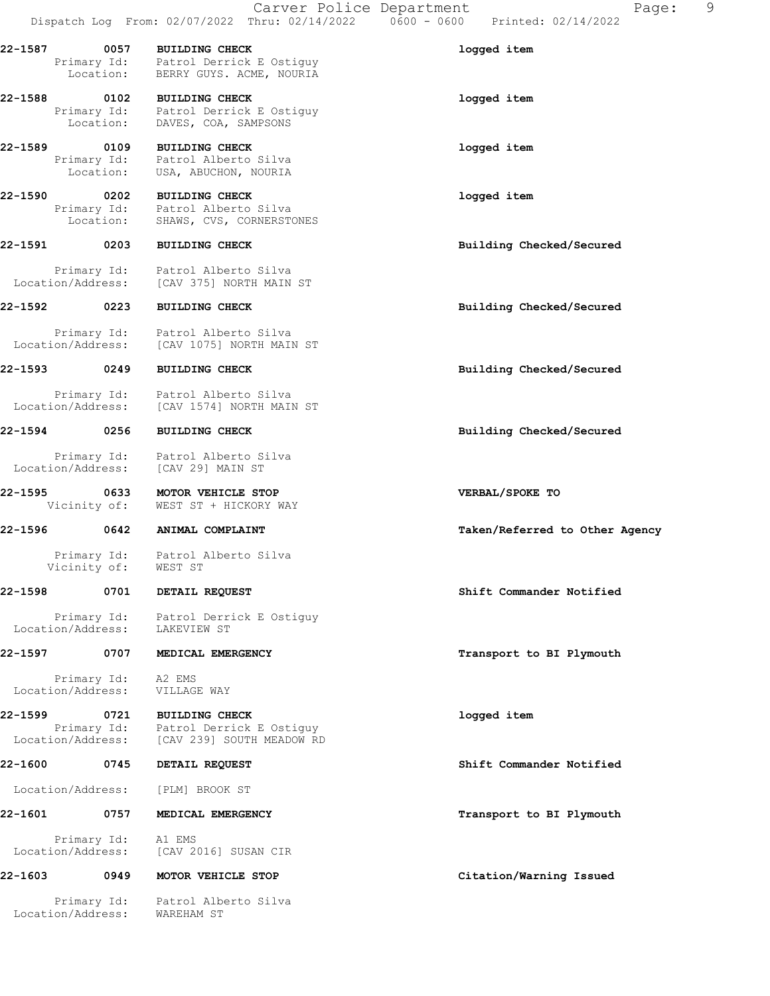|         |                                             | Carver Police Department                                                                                            | 9<br>Page:<br>Dispatch Log From: 02/07/2022 Thru: 02/14/2022   0600 - 0600   Printed: 02/14/2022 |
|---------|---------------------------------------------|---------------------------------------------------------------------------------------------------------------------|--------------------------------------------------------------------------------------------------|
| 22-1587 | 0057                                        | <b>BUILDING CHECK</b><br>Primary Id: Patrol Derrick E Ostiguy<br>Location: BERRY GUYS. ACME, NOURIA                 | logged item                                                                                      |
| 22-1588 | 0102<br>Location:                           | <b>BUILDING CHECK</b><br>Primary Id: Patrol Derrick E Ostiguy<br>DAVES, COA, SAMPSONS                               | logged item                                                                                      |
| 22-1589 | 0109                                        | <b>BUILDING CHECK</b><br>Primary Id: Patrol Alberto Silva<br>Location: USA, ABUCHON, NOURIA<br>USA, ABUCHON, NOURIA | logged item                                                                                      |
| 22-1590 | 0202<br>Location:                           | <b>BUILDING CHECK</b><br>Primary Id: Patrol Alberto Silva<br>SHAWS, CVS, CORNERSTONES                               | logged item                                                                                      |
| 22-1591 | 0203                                        | <b>BUILDING CHECK</b>                                                                                               | Building Checked/Secured                                                                         |
|         | Location/Address:                           | Primary Id: Patrol Alberto Silva<br>[CAV 375] NORTH MAIN ST                                                         |                                                                                                  |
| 22-1592 | $\sim$ 0223                                 | <b>BUILDING CHECK</b>                                                                                               | Building Checked/Secured                                                                         |
|         | Primary Id:<br>Location/Address:            | Patrol Alberto Silva<br>[CAV 1075] NORTH MAIN ST                                                                    |                                                                                                  |
|         | 22-1593 0249                                | <b>BUILDING CHECK</b>                                                                                               | Building Checked/Secured                                                                         |
|         |                                             | Primary Id: Patrol Alberto Silva<br>Location/Address: [CAV 1574] NORTH MAII<br>[CAV 1574] NORTH MAIN ST             |                                                                                                  |
|         | 22-1594 0256                                | <b>BUILDING CHECK</b>                                                                                               | Building Checked/Secured                                                                         |
|         | Location/Address:                           | Primary Id: Patrol Alberto Silva<br>[CAV 29] MAIN ST                                                                |                                                                                                  |
| 22-1595 | 0633<br>Vicinity of:                        | MOTOR VEHICLE STOP<br>WEST ST + HICKORY WAY                                                                         | VERBAL/SPOKE TO                                                                                  |
| 22-1596 | 0642                                        | ANIMAL COMPLAINT                                                                                                    | Taken/Referred to Other Agency                                                                   |
|         | Primary Id:<br>Vicinity of: WEST ST         | Patrol Alberto Silva                                                                                                |                                                                                                  |
| 22-1598 | 0701                                        | DETAIL REQUEST                                                                                                      | Shift Commander Notified                                                                         |
|         | Primary Id:<br>Location/Address:            | Patrol Derrick E Ostiguy<br>LAKEVIEW ST                                                                             |                                                                                                  |
| 22-1597 | 0707                                        | MEDICAL EMERGENCY                                                                                                   | Transport to BI Plymouth                                                                         |
|         | Primary Id:<br>Location/Address:            | A2 EMS<br>VILLAGE WAY                                                                                               |                                                                                                  |
| 22-1599 | 0721<br>Location/Address:                   | <b>BUILDING CHECK</b><br>Primary Id: Patrol Derrick E Ostiguy<br>[CAV 239] SOUTH MEADOW RD                          | logged item                                                                                      |
| 22-1600 | 0745                                        | DETAIL REQUEST                                                                                                      | Shift Commander Notified                                                                         |
|         | Location/Address:                           | [PLM] BROOK ST                                                                                                      |                                                                                                  |
| 22-1601 | 0757                                        | MEDICAL EMERGENCY                                                                                                   | Transport to BI Plymouth                                                                         |
|         | Primary Id:<br>Location/Address:            | A1 EMS<br>[CAV 2016] SUSAN CIR                                                                                      |                                                                                                  |
| 22-1603 | 0949                                        | MOTOR VEHICLE STOP                                                                                                  | Citation/Warning Issued                                                                          |
|         | Primary Id:<br>Location/Address: WAREHAM ST | Patrol Alberto Silva                                                                                                |                                                                                                  |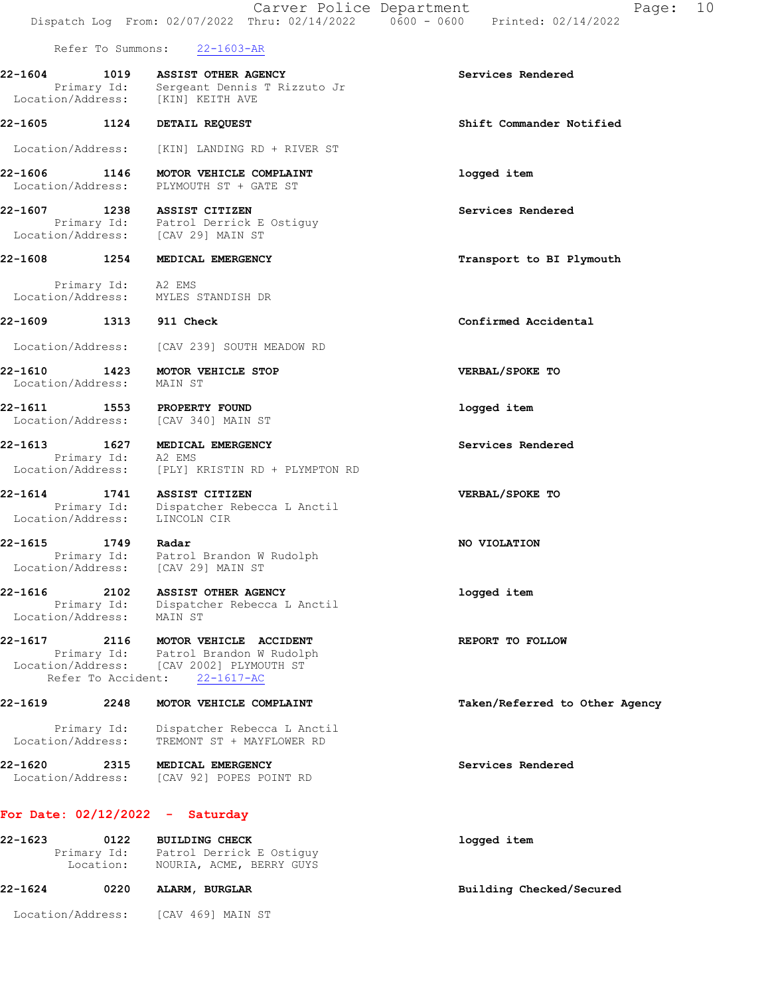Refer To Summons: 22-1603-AR

22-1604 1019 ASSIST OTHER AGENCY Services Rendered Primary Id: Sergeant Dennis T Rizzuto Jr Location/Address: [KIN] KEITH AVE

22-1605 1124 DETAIL REQUEST Shift Commander Notified

Location/Address: [KIN] LANDING RD + RIVER ST

22-1606 1146 MOTOR VEHICLE COMPLAINT logged item Location/Address: PLYMOUTH ST + GATE ST

22-1607 1238 ASSIST CITIZEN Services Rendered Primary Id: Patrol Derrick E Ostiguy Location/Address: [CAV 29] MAIN ST

## 22-1608 1254 MEDICAL EMERGENCY **1200 1200 1200 1200 1200 1200 1200** Transport to BI Plymouth

 Primary Id: A2 EMS Location/Address: MYLES STANDISH DR

#### 22-1609 1313 911 Check Confirmed Accidental

Location/Address: [CAV 239] SOUTH MEADOW RD

22-1610 1423 MOTOR VEHICLE STOP VERBAL/SPOKE TO Location/Address: MAIN ST

22-1611 1553 PROPERTY FOUND logged item Location/Address: [CAV 340] MAIN ST

22-1613 1627 MEDICAL EMERGENCY Services Rendered Primary Id: A2 EMS Location/Address: [PLY] KRISTIN RD + PLYMPTON RD

22-1614 1741 ASSIST CITIZEN VERBAL/SPOKE TO Primary Id: Dispatcher Rebecca L Anctil Location/Address: LINCOLN CIR

22-1615 1749 Radar NO VIOLATION Primary Id: Patrol Brandon W Rudolph Location/Address: [CAV 29] MAIN ST

#### 22-1616 2102 ASSIST OTHER AGENCY logged item Primary Id: Dispatcher Rebecca L Anctil Location/Address: MAIN ST

22-1617 2116 MOTOR VEHICLE ACCIDENT REPORT TO FOLLOW Primary Id: Patrol Brandon W Rudolph Location/Address: [CAV 2002] PLYMOUTH ST Refer To Accident: 22-1617-AC

### 22-1619 2248 MOTOR VEHICLE COMPLAINT Taken/Referred to Other Agency

### Primary Id: Dispatcher Rebecca L Anctil Location/Address: TREMONT ST + MAYFLOWER RD

22-1620 2315 MEDICAL EMERGENCY Services Rendered Location/Address: [CAV 92] POPES POINT RD

#### For Date: 02/12/2022 - Saturday

| 22-1623 | 0122<br>Primary Id:<br>Location: | <b>BUILDING CHECK</b><br>Patrol Derrick E Ostiquy<br>NOURIA, ACME, BERRY GUYS | logged item              |
|---------|----------------------------------|-------------------------------------------------------------------------------|--------------------------|
| 22-1624 | 0220                             | ALARM, BURGLAR                                                                | Building Checked/Secured |
|         | Location/Address:                | [CAV 469] MAIN ST                                                             |                          |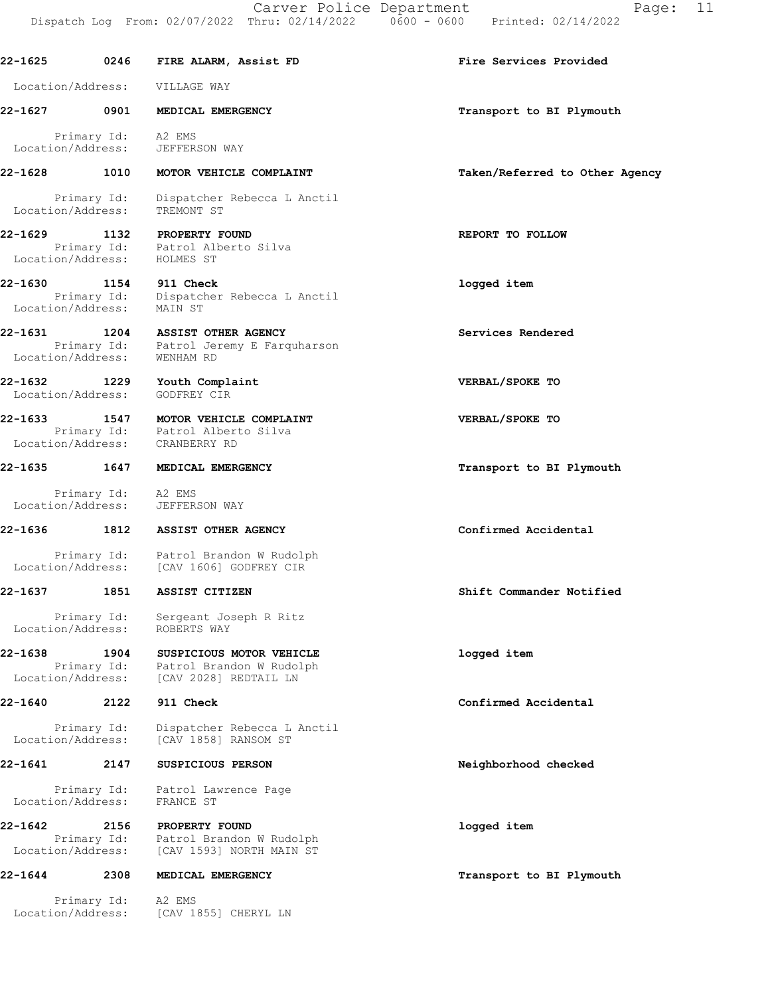22-1625 0246 FIRE ALARM, Assist FD Fire Services Provided Location/Address: VILLAGE WAY 22-1627 0901 MEDICAL EMERGENCY **1200 CONTACT 160 MEDICAL** EMERGENCY Primary Id: A2 EMS Location/Address: JEFFERSON WAY 22-1628 1010 MOTOR VEHICLE COMPLAINT Taken/Referred to Other Agency Primary Id: Dispatcher Rebecca L Anctil Location/Address: TREMONT ST 22-1629 1132 PROPERTY FOUND 120 22-1629 REPORT TO FOLLOW Primary Id: Patrol Alberto Silva Location/Address: HOLMES ST 22-1630 1154 911 Check logged item Primary Id: Dispatcher Rebecca L Anctil Location/Address: MAIN ST 22-1631 1204 ASSIST OTHER AGENCY Services Rendered Primary Id: Patrol Jeremy E Farquharson Location/Address: WENHAM RD 22-1632 1229 Youth Complaint VERBAL/SPOKE TO Location/Address: GODFREY CIR 22-1633 1547 MOTOR VEHICLE COMPLAINT VERBAL/SPOKE TO Primary Id: Patrol Alberto Silva Location/Address: CRANBERRY RD 22-1635 1647 MEDICAL EMERGENCY 1688 1697 Transport to BI Plymouth Primary Id: A2 EMS Location/Address: JEFFERSON WAY 22-1636 1812 ASSIST OTHER AGENCY Confirmed Accidental Primary Id: Patrol Brandon W Rudolph Location/Address: [CAV 1606] GODFREY CIR 22-1637 1851 ASSIST CITIZEN Shift Commander Notified Primary Id: Sergeant Joseph R Ritz Location/Address: ROBERTS WAY 22-1638 1904 SUSPICIOUS MOTOR VEHICLE **1994 IDE Logged** item Primary Id: Patrol Brandon W Rudolph Location/Address: [CAV 2028] REDTAIL LN 22-1640 2122 911 Check Confirmed Accidental Primary Id: Dispatcher Rebecca L Anctil Location/Address: [CAV 1858] RANSOM ST 22-1641 2147 SUSPICIOUS PERSON Neighborhood checked Primary Id: Patrol Lawrence Page Location/Address: FRANCE ST 22-1642 2156 PROPERTY FOUND logged item Primary Id: Patrol Brandon W Rudolph Location/Address: [CAV 1593] NORTH MAIN ST 22-1644 2308 MEDICAL EMERGENCY **1200 CONTACT 1200 MEDICAL** EMERGENCY Primary Id: A2 EMS Location/Address: [CAV 1855] CHERYL LN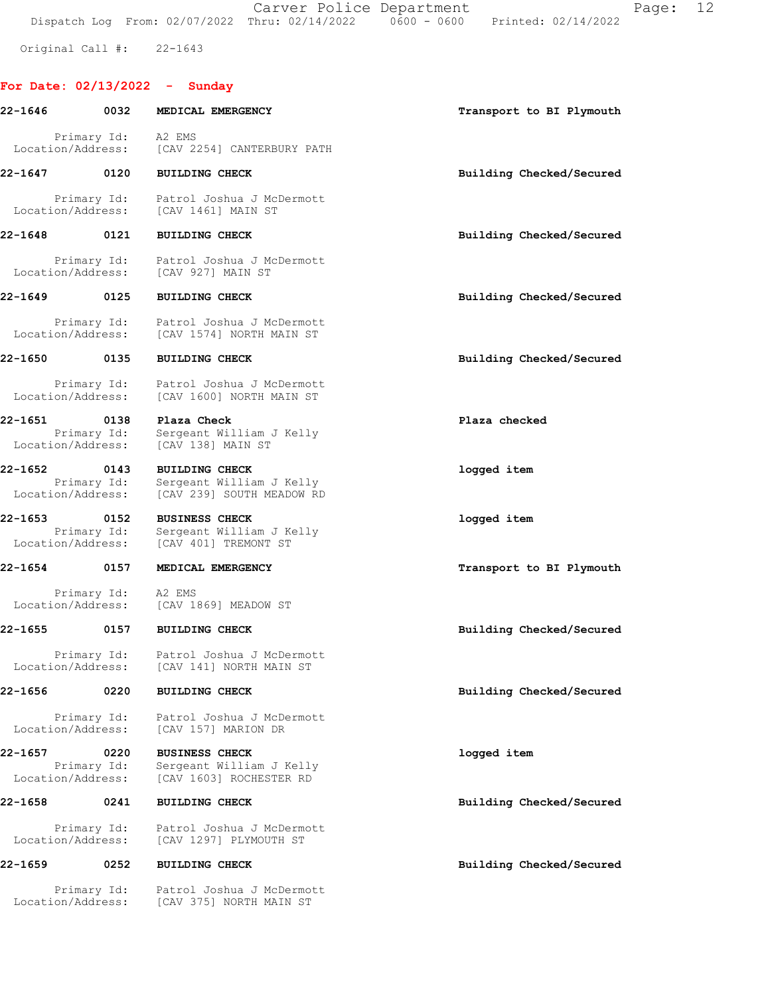Carver Police Department Fage: 12 Dispatch Log From: 02/07/2022 Thru: 02/14/2022 0600 - 0600 Printed: 02/14/2022

Original Call #: 22-1643

# For Date: 02/13/2022 - Sunday

| $22 - 1646$                  | 0032                | MEDICAL EMERGENCY                                                                  | Transport to BI Plymouth |
|------------------------------|---------------------|------------------------------------------------------------------------------------|--------------------------|
| Location/Address:            |                     | Primary Id: A2 EMS<br>con/Address: [CAV 2254] CANTERBURY PATH                      |                          |
| $22 - 1647$                  | 0120                | <b>BUILDING CHECK</b>                                                              | Building Checked/Secured |
|                              |                     | Primary Id: Patrol Joshua J McDermott<br>Location/Address: [CAV 1461] MAIN ST      |                          |
| 22-1648                      | 0121                | <b>BUILDING CHECK</b>                                                              | Building Checked/Secured |
|                              |                     | Primary Id: Patrol Joshua J McDermott<br>Location/Address: [CAV 927] MAIN ST       |                          |
| 22-1649                      | 0125                | <b>BUILDING CHECK</b>                                                              | Building Checked/Secured |
|                              | Primary Id:         | Patrol Joshua J McDermott<br>Location/Address: [CAV 1574] NORTH MAIN ST            |                          |
| 22-1650                      | 0135                | <b>BUILDING CHECK</b>                                                              | Building Checked/Secured |
| Location/Address:            | Primary Id:         | Patrol Joshua J McDermott<br>[CAV 1600] NORTH MAIN ST                              |                          |
| 22-1651                      | 0138<br>Primary Id: | Plaza Check<br>Sergeant William J Kelly                                            | Plaza checked            |
| Location/Address:            |                     | [CAV 138] MAIN ST                                                                  |                          |
| 22-1652<br>Location/Address: | 0143<br>Primary Id: | <b>BUILDING CHECK</b><br>Sergeant William J Kelly<br>[CAV 239] SOUTH MEADOW RD     | logged item              |
| 22-1653<br>Location/Address: | 0152<br>Primary Id: | <b>BUSINESS CHECK</b><br>Sergeant William J Kelly<br>[CAV 401] TREMONT ST          | logged item              |
| 22-1654                      | 0157                | MEDICAL EMERGENCY                                                                  | Transport to BI Plymouth |
|                              | Primary Id: A2 EMS  | Location/Address: [CAV 1869] MEADOW ST                                             |                          |
| 22-1655                      | 0157                | <b>BUILDING CHECK</b>                                                              | Building Checked/Secured |
|                              |                     | Primary Id: Patrol Joshua J McDermott<br>Location/Address: [CAV 141] NORTH MAIN ST |                          |
| $22 - 1656$                  | 0220                | <b>BUILDING CHECK</b>                                                              | Building Checked/Secured |
| Location/Address:            | Primary Id:         | Patrol Joshua J McDermott<br>[CAV 157] MARION DR                                   |                          |
| 22-1657<br>Location/Address: | 0220<br>Primary Id: | <b>BUSINESS CHECK</b><br>Sergeant William J Kelly<br>[CAV 1603] ROCHESTER RD       | logged item              |
| 22-1658                      | 0241                | <b>BUILDING CHECK</b>                                                              | Building Checked/Secured |
| Location/Address:            | Primary Id:         | Patrol Joshua J McDermott<br>[CAV 1297] PLYMOUTH ST                                |                          |
| 22-1659                      | 0252                | <b>BUILDING CHECK</b>                                                              | Building Checked/Secured |
| Location/Address:            | Primary Id:         | Patrol Joshua J McDermott<br>[CAV 375] NORTH MAIN ST                               |                          |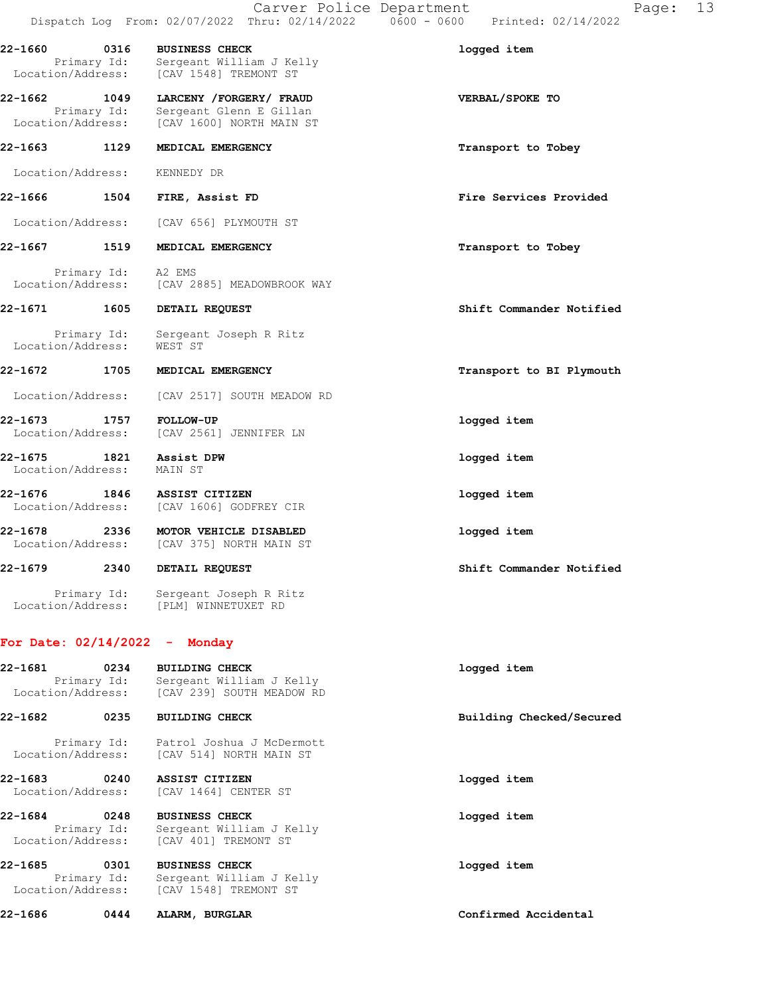|                                   |                    | Carver Police Department                                                                                 | Page: 13<br>Dispatch Log From: 02/07/2022 Thru: 02/14/2022   0600 - 0600   Printed: 02/14/2022 |  |
|-----------------------------------|--------------------|----------------------------------------------------------------------------------------------------------|------------------------------------------------------------------------------------------------|--|
| 22-1660                           | 0316               | <b>BUSINESS CHECK</b><br>Primary Id: Sergeant William J Kelly<br>Location/Address: [CAV 1548] TREMONT ST | logged item                                                                                    |  |
| 22-1662 1049                      | Primary Id:        | LARCENY /FORGERY/ FRAUD<br>Sergeant Glenn E Gillan<br>Location/Address: [CAV 1600] NORTH MAIN ST         | VERBAL/SPOKE TO                                                                                |  |
| 22-1663 1129                      |                    | MEDICAL EMERGENCY                                                                                        | Transport to Tobey                                                                             |  |
| Location/Address:                 |                    | KENNEDY DR                                                                                               |                                                                                                |  |
| 22-1666 1504                      |                    | FIRE, Assist FD                                                                                          | Fire Services Provided                                                                         |  |
|                                   |                    | Location/Address: [CAV 656] PLYMOUTH ST                                                                  |                                                                                                |  |
|                                   |                    | 22-1667 1519 MEDICAL EMERGENCY                                                                           | Transport to Tobey                                                                             |  |
|                                   | Primary Id: A2 EMS | Location/Address: [CAV 2885] MEADOWBROOK WAY                                                             |                                                                                                |  |
|                                   |                    | 22-1671 1605 DETAIL REQUEST                                                                              | Shift Commander Notified                                                                       |  |
| Location/Address: WEST ST         |                    | Primary Id: Sergeant Joseph R Ritz                                                                       |                                                                                                |  |
| 22-1672 1705                      |                    | MEDICAL EMERGENCY                                                                                        | Transport to BI Plymouth                                                                       |  |
| Location/Address:                 |                    | [CAV 2517] SOUTH MEADOW RD                                                                               |                                                                                                |  |
| 22-1673<br>Location/Address:      | 1757               | <b>FOLLOW-UP</b><br>[CAV 2561] JENNIFER LN                                                               | logged item                                                                                    |  |
| 22-1675 1821<br>Location/Address: |                    | Assist DPW<br>MAIN ST                                                                                    | logged item                                                                                    |  |
| Location/Address:                 |                    | 22-1676 1846 ASSIST CITIZEN<br>[CAV 1606] GODFREY CIR                                                    | logged item                                                                                    |  |
| 22-1678<br>Location/Address:      | 2336               | MOTOR VEHICLE DISABLED<br>[CAV 375] NORTH MAIN ST                                                        | logged item                                                                                    |  |
|                                   |                    | 22-1679 2340 DETAIL REQUEST                                                                              | Shift Commander Notified                                                                       |  |
|                                   | Primary Id:        | Sergeant Joseph R Ritz<br>Location/Address: [PLM] WINNETUXET RD                                          |                                                                                                |  |

# For Date: 02/14/2022 - Monday

| 22-1681 | 0234<br>Primary Id: | <b>BUILDING CHECK</b><br>Sergeant William J Kelly<br>Location/Address: [CAV 239] SOUTH MEADOW RD | logged item              |
|---------|---------------------|--------------------------------------------------------------------------------------------------|--------------------------|
| 22-1682 | 0235                | <b>BUILDING CHECK</b>                                                                            | Building Checked/Secured |
|         |                     | Primary Id: Patrol Joshua J McDermott<br>Location/Address: [CAV 514] NORTH MAIN ST               |                          |
| 22-1683 | 0240                | <b>ASSIST CITIZEN</b><br>Location/Address: [CAV 1464] CENTER ST                                  | logged item              |
| 22-1684 | 0248<br>Primary Id: | <b>BUSINESS CHECK</b><br>Sergeant William J Kelly<br>Location/Address: [CAV 401] TREMONT ST      | logged item              |
| 22-1685 | 0301<br>Primary Id: | <b>BUSINESS CHECK</b><br>Sergeant William J Kelly<br>Location/Address: [CAV 1548] TREMONT ST     | logged item              |
| 22-1686 | 0444                | ALARM, BURGLAR                                                                                   | Confirmed Accidental     |